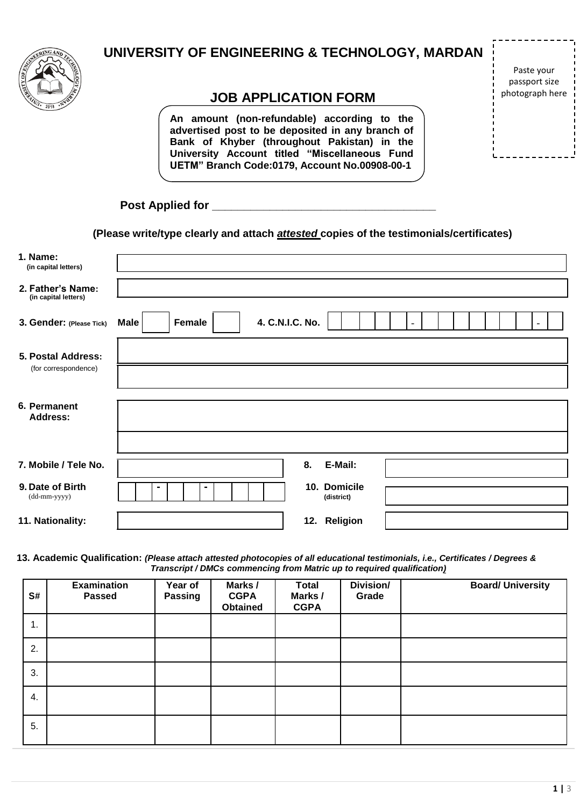

## **UNIVERSITY OF ENGINEERING & TECHNOLOGY, MARDAN**

## **JOB APPLICATION FORM**

**An amount (non-refundable) according to the advertised post to be deposited in any branch of Bank of Khyber (throughout Pakistan) in the University Account titled "Miscellaneous Fund UETM" Branch Code:0179, Account No.00908-00-1**

Paste your passport size photograph here

| <b>Post Applied for</b> |  |
|-------------------------|--|
|                         |  |

**(Please write/type clearly and attach** *attested* **copies of the testimonials/certificates)**

| 1. Name:<br>(in capital letters)          |                                          |
|-------------------------------------------|------------------------------------------|
| 2. Father's Name:<br>(in capital letters) |                                          |
| 3. Gender: (Please Tick)                  | 4. C.N.I.C. No.<br>Female<br><b>Male</b> |
| 5. Postal Address:                        |                                          |
| (for correspondence)                      |                                          |
|                                           |                                          |
| 6. Permanent<br><b>Address:</b>           |                                          |
|                                           |                                          |
| 7. Mobile / Tele No.                      | 8.<br>E-Mail:                            |
| 9. Date of Birth                          | 10. Domicile<br>۰                        |
| (dd-mm-yyyy)                              | (district)                               |
| 11. Nationality:                          | 12. Religion                             |
|                                           |                                          |

**13. Academic Qualification:** *(Please attach attested photocopies of all educational testimonials, i.e., Certificates / Degrees & Transcript / DMCs commencing from Matric up to required qualification)*

| S# | <b>Examination</b><br><b>Passed</b> | Year of<br><b>Passing</b> | Marks /<br><b>CGPA</b><br><b>Obtained</b> | <b>Total</b><br>Marks /<br><b>CGPA</b> | Division/<br>Grade | <b>Board/ University</b> |
|----|-------------------------------------|---------------------------|-------------------------------------------|----------------------------------------|--------------------|--------------------------|
| 1. |                                     |                           |                                           |                                        |                    |                          |
| 2. |                                     |                           |                                           |                                        |                    |                          |
| 3. |                                     |                           |                                           |                                        |                    |                          |
| 4. |                                     |                           |                                           |                                        |                    |                          |
| 5. |                                     |                           |                                           |                                        |                    |                          |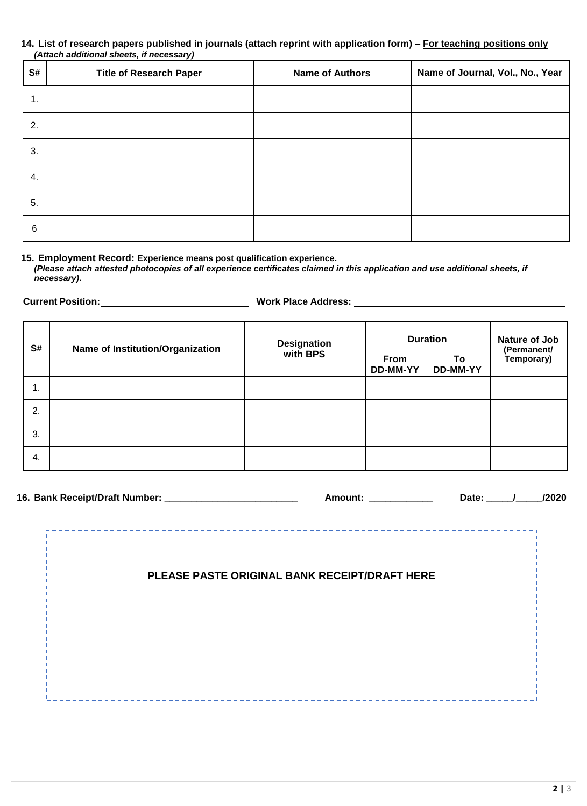## **14. List of research papers published in journals (attach reprint with application form) – For teaching positions only** *(Attach additional sheets, if necessary)*

| S# | <b>Title of Research Paper</b> | <b>Name of Authors</b> | Name of Journal, Vol., No., Year |
|----|--------------------------------|------------------------|----------------------------------|
| 1. |                                |                        |                                  |
| 2. |                                |                        |                                  |
| 3. |                                |                        |                                  |
| 4. |                                |                        |                                  |
| 5. |                                |                        |                                  |
| 6  |                                |                        |                                  |

**15. Employment Record: Experience means post qualification experience.**

*(Please attach attested photocopies of all experience certificates claimed in this application and use additional sheets, if necessary)***.**

**Current Position: Work Place Address:** 

| S# | Name of Institution/Organization | Designation<br>with BPS | <b>Duration</b>  |                | Nature of Job<br>(Permanent/ |
|----|----------------------------------|-------------------------|------------------|----------------|------------------------------|
|    |                                  |                         | From<br>DD-MM-YY | To<br>DD-MM-YY | Temporary)                   |
| ι. |                                  |                         |                  |                |                              |
| 2. |                                  |                         |                  |                |                              |
| 3. |                                  |                         |                  |                |                              |
| 4. |                                  |                         |                  |                |                              |

|  | Amount:                                       | Date: | /2020 |
|--|-----------------------------------------------|-------|-------|
|  |                                               |       |       |
|  | PLEASE PASTE ORIGINAL BANK RECEIPT/DRAFT HERE |       |       |
|  |                                               |       |       |
|  |                                               |       |       |
|  |                                               |       |       |